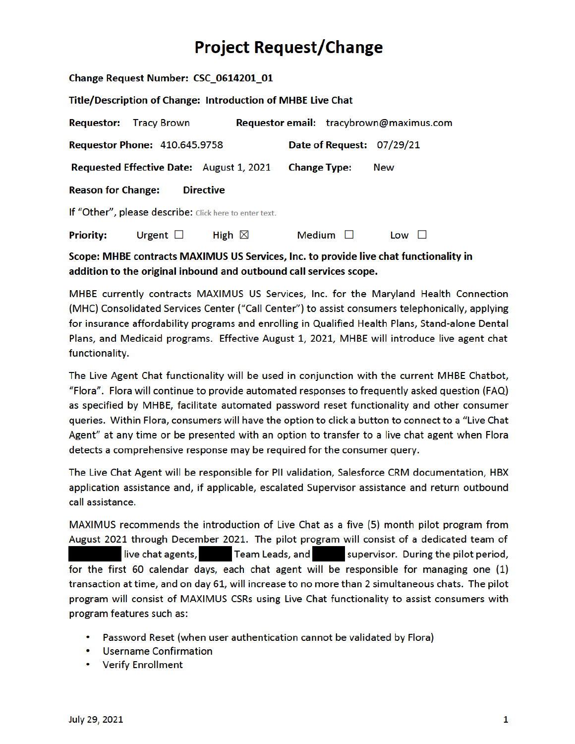# **Project Request/Change**

| Change Request Number: CSC 0614201 01                              |                                      |                                                 |                                         |               |                           |  |  |  |  |  |
|--------------------------------------------------------------------|--------------------------------------|-------------------------------------------------|-----------------------------------------|---------------|---------------------------|--|--|--|--|--|
| <b>Title/Description of Change: Introduction of MHBE Live Chat</b> |                                      |                                                 |                                         |               |                           |  |  |  |  |  |
|                                                                    | <b>Requestor: Tracy Brown</b>        |                                                 | Requestor email: tracybrown@maximus.com |               |                           |  |  |  |  |  |
|                                                                    | <b>Requestor Phone: 410.645.9758</b> |                                                 |                                         |               | Date of Request: 07/29/21 |  |  |  |  |  |
|                                                                    |                                      | <b>Requested Effective Date:</b> August 1, 2021 | <b>Change Type:</b>                     |               | <b>New</b>                |  |  |  |  |  |
| <b>Reason for Change:</b><br><b>Directive</b>                      |                                      |                                                 |                                         |               |                           |  |  |  |  |  |
| If "Other", please describe: Click here to enter text.             |                                      |                                                 |                                         |               |                           |  |  |  |  |  |
| <b>Priority:</b>                                                   | Urgent $\Box$                        | High $\boxtimes$                                |                                         | Medium $\Box$ | $Low$ $\Box$              |  |  |  |  |  |

### Scope: MHBE contracts MAXIMUS US Services, Inc. to provide live chat functionality in addition to the original inbound and outbound call services scope.

MHBE currently contracts MAXIMUS US Services, Inc. for the Maryland Health Connection (MHC) Consolidated Services Center ("Call Center") to assist consumers telephonically, applying for insurance affordability programs and enrolling in Qualified Health Plans, Stand-alone Dental Plans, and Medicaid programs. Effective August 1, 2021, MHBE will introduce live agent chat functionality.

The Live Agent Chat functionality will be used in conjunction with the current MHBE Chatbot, "Flora". Flora will continue to provide automated responses to frequently asked question (FAQ) as specified by MHBE, facilitate automated password reset functionality and other consumer queries. Within Flora, consumers will have the option to click a button to connect to a "Live Chat Agent" at any time or be presented with an option to transfer to a live chat agent when Flora detects a comprehensive response may be required for the consumer query.

The Live Chat Agent will be responsible for PII validation, Salesforce CRM documentation, HBX application assistance and, if applicable, escalated Supervisor assistance and return outbound call assistance.

MAXIMUS recommends the introduction of Live Chat as a five (5) month pilot program from August 2021 through December 2021. The pilot program will consist of a dedicated team of live chat agents, Team Leads, and Supervisor. During the pilot period, for the first 60 calendar days, each chat agent will be responsible for managing one (1) transaction at time, and on day 61, will increase to no more than 2 simultaneous chats. The pilot program will consist of MAXIMUS CSRs using Live Chat functionality to assist consumers with program features such as:

- Password Reset (when user authentication cannot be validated by Flora)
- Username Confirmation
- Verify Enrollment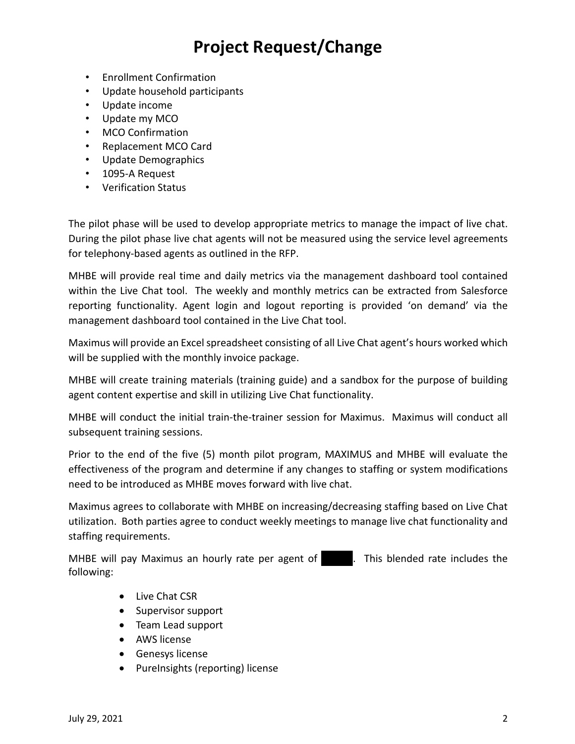# **Project Request/Change**

- Enrollment Confirmation
- Update household participants
- Update income
- Update my MCO
- MCO Confirmation
- Replacement MCO Card
- Update Demographics
- 1095-A Request
- Verification Status

The pilot phase will be used to develop appropriate metrics to manage the impact of live chat. During the pilot phase live chat agents will not be measured using the service level agreements for telephony-based agents as outlined in the RFP.

MHBE will provide real time and daily metrics via the management dashboard tool contained within the Live Chat tool. The weekly and monthly metrics can be extracted from Salesforce reporting functionality. Agent login and logout reporting is provided 'on demand' via the management dashboard tool contained in the Live Chat tool.

Maximus will provide an Excel spreadsheet consisting of all Live Chat agent's hours worked which will be supplied with the monthly invoice package.

MHBE will create training materials (training guide) and a sandbox for the purpose of building agent content expertise and skill in utilizing Live Chat functionality.

MHBE will conduct the initial train-the-trainer session for Maximus. Maximus will conduct all subsequent training sessions.

Prior to the end of the five (5) month pilot program, MAXIMUS and MHBE will evaluate the effectiveness of the program and determine if any changes to staffing or system modifications need to be introduced as MHBE moves forward with live chat.

Maximus agrees to collaborate with MHBE on increasing/decreasing staffing based on Live Chat utilization. Both parties agree to conduct weekly meetings to manage live chat functionality and staffing requirements.

MHBE will pay Maximus an hourly rate per agent of **the last includes the MHBE** will pay Maximus an hourly rate includes the following:

- Live Chat CSR
- Supervisor support
- Team Lead support
- AWS license
- Genesys license
- PureInsights (reporting) license